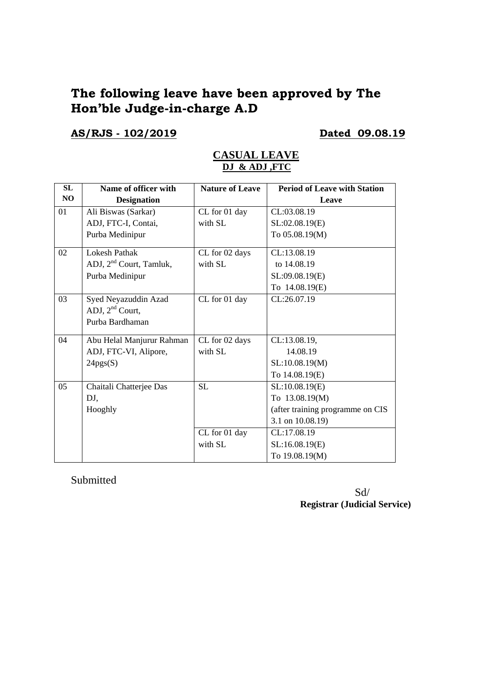# **The following leave have been approved by The Hon'ble Judge-in-charge A.D**

# **AS/RJS - 102/2019 Dated 09.08.19**

| SL | Name of officer with                | <b>Nature of Leave</b> | <b>Period of Leave with Station</b> |
|----|-------------------------------------|------------------------|-------------------------------------|
| NO | <b>Designation</b>                  |                        | Leave                               |
| 01 | Ali Biswas (Sarkar)                 | CL for 01 day          | CL:03.08.19                         |
|    | ADJ, FTC-I, Contai,                 | with SL                | SL:02.08.19(E)                      |
|    | Purba Medinipur                     |                        | To 05.08.19(M)                      |
| 02 | <b>Lokesh Pathak</b>                | CL for 02 days         | CL:13.08.19                         |
|    | ADJ, 2 <sup>nd</sup> Court, Tamluk, | with SL                | to 14.08.19                         |
|    | Purba Medinipur                     |                        | SL:09.08.19(E)                      |
|    |                                     |                        | To 14.08.19(E)                      |
| 03 | Syed Neyazuddin Azad                | CL for 01 day          | CL:26.07.19                         |
|    | ADJ, $2nd$ Court,                   |                        |                                     |
|    | Purba Bardhaman                     |                        |                                     |
| 04 | Abu Helal Manjurur Rahman           | CL for 02 days         | CL:13.08.19.                        |
|    | ADJ, FTC-VI, Alipore,               | with SL                | 14.08.19                            |
|    | 24pgs(S)                            |                        | SL:10.08.19(M)                      |
|    |                                     |                        | To 14.08.19(E)                      |
| 05 | Chaitali Chatterjee Das             | <b>SL</b>              | SL:10.08.19(E)                      |
|    | DJ,                                 |                        | To 13.08.19(M)                      |
|    | Hooghly                             |                        | (after training programme on CIS    |
|    |                                     |                        | 3.1 on 10.08.19)                    |
|    |                                     | CL for 01 day          | CL:17.08.19                         |
|    |                                     | with SL                | SL:16.08.19(E)                      |
|    |                                     |                        | To 19.08.19(M)                      |

### **CASUAL LEAVE DJ & ADJ ,FTC**

Submitted

 Sd/ **Registrar (Judicial Service)**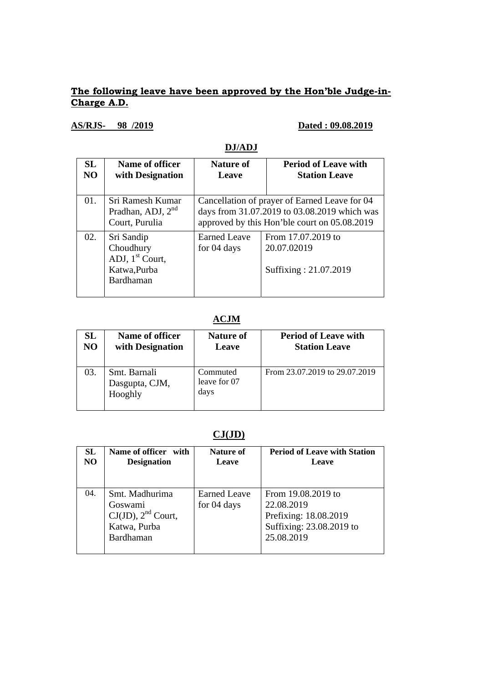### **The following leave have been approved by the Hon'ble Judge-in-Charge A.D.**

## **AS/RJS- 98 /2019 Dated : 09.08.2019**

## **DJ/ADJ**

| <b>SL</b><br>NO. | Name of officer<br>with Designation                                                 | <b>Nature of</b><br>Leave          | <b>Period of Leave with</b><br><b>Station Leave</b>                                                                                           |
|------------------|-------------------------------------------------------------------------------------|------------------------------------|-----------------------------------------------------------------------------------------------------------------------------------------------|
| 01.              | Sri Ramesh Kumar<br>Pradhan, ADJ, $2nd$<br>Court, Purulia                           |                                    | Cancellation of prayer of Earned Leave for 04<br>days from 31.07.2019 to 03.08.2019 which was<br>approved by this Hon'ble court on 05.08.2019 |
| 02.              | Sri Sandip<br>Choudhury<br>ADJ, 1 <sup>st</sup> Court,<br>Katwa, Purba<br>Bardhaman | <b>Earned Leave</b><br>for 04 days | From 17.07.2019 to<br>20.07.02019<br>Suffixing: 21.07.2019                                                                                    |

## **ACJM**

| SL             | Name of officer                           | <b>Nature of</b>                 | <b>Period of Leave with</b>   |
|----------------|-------------------------------------------|----------------------------------|-------------------------------|
| N <sub>O</sub> | with Designation                          | Leave                            | <b>Station Leave</b>          |
| 03.            | Smt. Barnali<br>Dasgupta, CJM,<br>Hooghly | Commuted<br>leave for 07<br>days | From 23.07.2019 to 29.07.2019 |

# **CJ(JD)**

| <b>SL</b> | Name of officer with                                                              | Nature of                          | <b>Period of Leave with Station</b>                                                                 |
|-----------|-----------------------------------------------------------------------------------|------------------------------------|-----------------------------------------------------------------------------------------------------|
| NO.       | <b>Designation</b>                                                                | Leave                              | Leave                                                                                               |
| 04.       | Smt. Madhurima<br>Goswami<br>$CJ(JD)$ , $2nd$ Court,<br>Katwa, Purba<br>Bardhaman | <b>Earned Leave</b><br>for 04 days | From 19.08.2019 to<br>22.08.2019<br>Prefixing: 18.08.2019<br>Suffixing: 23.08.2019 to<br>25.08.2019 |